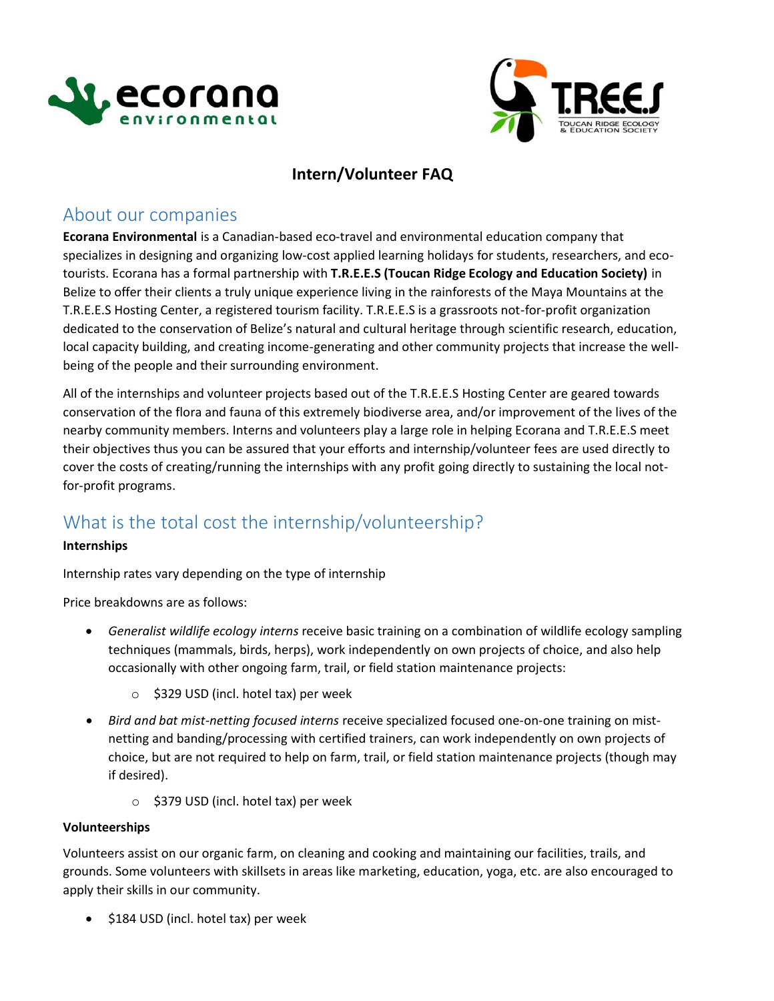



### **Intern/Volunteer FAQ**

## About our companies

**Ecorana Environmental** is a Canadian-based eco-travel and environmental education company that specializes in designing and organizing low-cost applied learning holidays for students, researchers, and ecotourists. Ecorana has a formal partnership with **T.R.E.E.S (Toucan Ridge Ecology and Education Society)** in Belize to offer their clients a truly unique experience living in the rainforests of the Maya Mountains at the T.R.E.E.S Hosting Center, a registered tourism facility. T.R.E.E.S is a grassroots not-for-profit organization dedicated to the conservation of Belize's natural and cultural heritage through scientific research, education, local capacity building, and creating income-generating and other community projects that increase the wellbeing of the people and their surrounding environment.

All of the internships and volunteer projects based out of the T.R.E.E.S Hosting Center are geared towards conservation of the flora and fauna of this extremely biodiverse area, and/or improvement of the lives of the nearby community members. Interns and volunteers play a large role in helping Ecorana and T.R.E.E.S meet their objectives thus you can be assured that your efforts and internship/volunteer fees are used directly to cover the costs of creating/running the internships with any profit going directly to sustaining the local notfor-profit programs.

# What is the total cost the internship/volunteership?

### **Internships**

Internship rates vary depending on the type of internship

Price breakdowns are as follows:

- *Generalist wildlife ecology interns* receive basic training on a combination of wildlife ecology sampling techniques (mammals, birds, herps), work independently on own projects of choice, and also help occasionally with other ongoing farm, trail, or field station maintenance projects:
	- o \$329 USD (incl. hotel tax) per week
- *Bird and bat mist-netting focused interns* receive specialized focused one-on-one training on mistnetting and banding/processing with certified trainers, can work independently on own projects of choice, but are not required to help on farm, trail, or field station maintenance projects (though may if desired).
	- o \$379 USD (incl. hotel tax) per week

### **Volunteerships**

Volunteers assist on our organic farm, on cleaning and cooking and maintaining our facilities, trails, and grounds. Some volunteers with skillsets in areas like marketing, education, yoga, etc. are also encouraged to apply their skills in our community.

• \$184 USD (incl. hotel tax) per week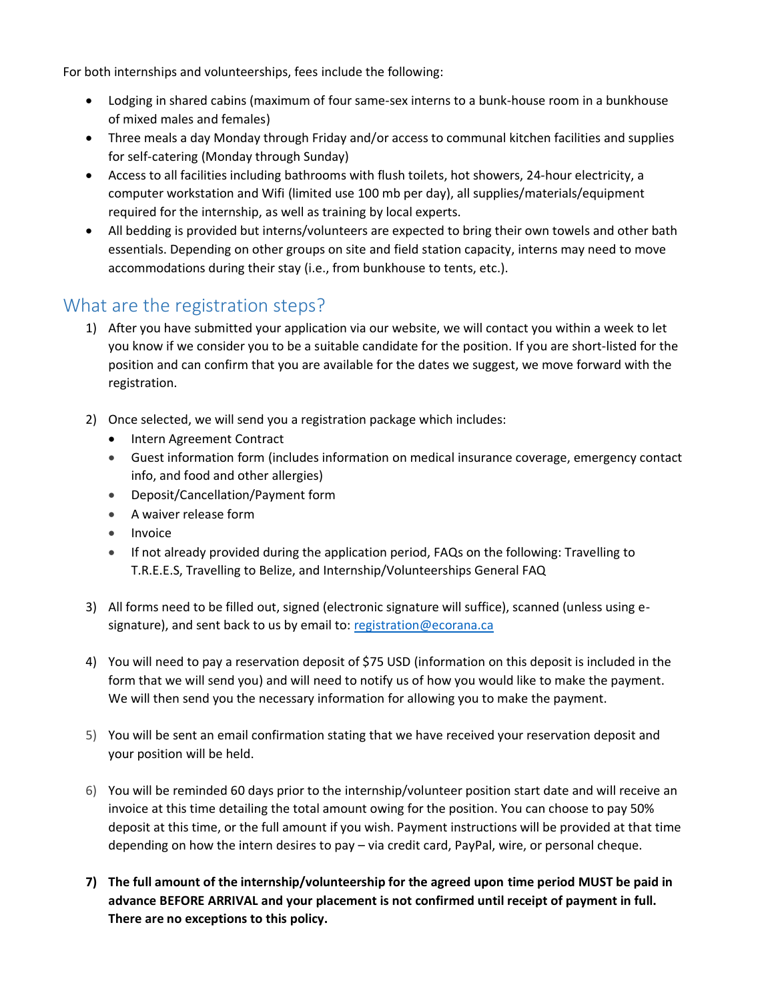For both internships and volunteerships, fees include the following:

- Lodging in shared cabins (maximum of four same-sex interns to a bunk-house room in a bunkhouse of mixed males and females)
- Three meals a day Monday through Friday and/or access to communal kitchen facilities and supplies for self-catering (Monday through Sunday)
- Access to all facilities including bathrooms with flush toilets, hot showers, 24-hour electricity, a computer workstation and Wifi (limited use 100 mb per day), all supplies/materials/equipment required for the internship, as well as training by local experts.
- All bedding is provided but interns/volunteers are expected to bring their own towels and other bath essentials. Depending on other groups on site and field station capacity, interns may need to move accommodations during their stay (i.e., from bunkhouse to tents, etc.).

## What are the registration steps?

- 1) After you have submitted your application via our website, we will contact you within a week to let you know if we consider you to be a suitable candidate for the position. If you are short-listed for the position and can confirm that you are available for the dates we suggest, we move forward with the registration.
- 2) Once selected, we will send you a registration package which includes:
	- Intern Agreement Contract
	- Guest information form (includes information on medical insurance coverage, emergency contact info, and food and other allergies)
	- Deposit/Cancellation/Payment form
	- A waiver release form
	- Invoice
	- If not already provided during the application period, FAQs on the following: Travelling to T.R.E.E.S, Travelling to Belize, and Internship/Volunteerships General FAQ
- 3) All forms need to be filled out, signed (electronic signature will suffice), scanned (unless using esignature), and sent back to us by email to: [registration@ecorana.ca](mailto:registration@ecorana.ca)
- 4) You will need to pay a reservation deposit of \$75 USD (information on this deposit is included in the form that we will send you) and will need to notify us of how you would like to make the payment. We will then send you the necessary information for allowing you to make the payment.
- 5) You will be sent an email confirmation stating that we have received your reservation deposit and your position will be held.
- 6) You will be reminded 60 days prior to the internship/volunteer position start date and will receive an invoice at this time detailing the total amount owing for the position. You can choose to pay 50% deposit at this time, or the full amount if you wish. Payment instructions will be provided at that time depending on how the intern desires to pay – via credit card, PayPal, wire, or personal cheque.
- **7) The full amount of the internship/volunteership for the agreed upon time period MUST be paid in advance BEFORE ARRIVAL and your placement is not confirmed until receipt of payment in full. There are no exceptions to this policy.**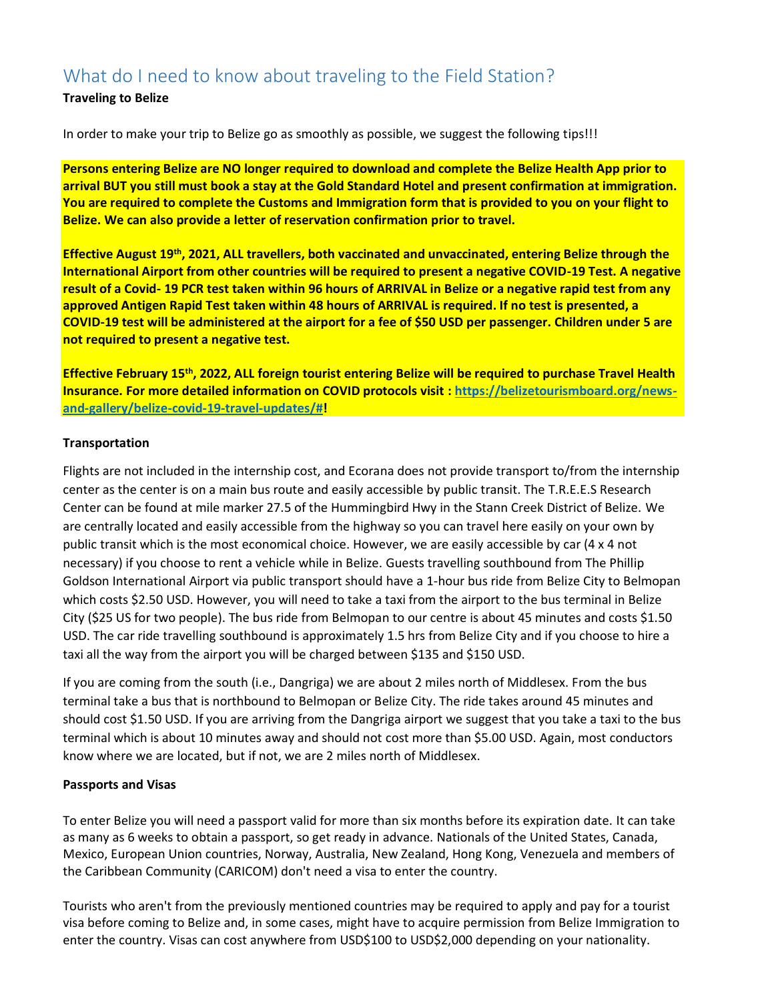# What do I need to know about traveling to the Field Station?

### **Traveling to Belize**

In order to make your trip to Belize go as smoothly as possible, we suggest the following tips!!!

**Persons entering Belize are NO longer required to download and complete the Belize Health App prior to arrival BUT you still must book a stay at the Gold Standard Hotel and present confirmation at immigration. You are required to complete the Customs and Immigration form that is provided to you on your flight to Belize. We can also provide a letter of reservation confirmation prior to travel.**

**Effective August 19th, 2021, ALL travellers, both vaccinated and unvaccinated, entering Belize through the International Airport from other countries will be required to present a negative COVID-19 Test. A negative result of a Covid- 19 PCR test taken within 96 hours of ARRIVAL in Belize or a negative rapid test from any approved Antigen Rapid Test taken within 48 hours of ARRIVAL is required. If no test is presented, a COVID-19 test will be administered at the airport for a fee of \$50 USD per passenger. Children under 5 are not required to present a negative test.**

**Effective February 15th, 2022, ALL foreign tourist entering Belize will be required to purchase Travel Health Insurance. For more detailed information on COVID protocols visit [: https://belizetourismboard.org/news](https://belizetourismboard.org/news-and-gallery/belize-covid-19-travel-updates/)[and-gallery/belize-covid-19-travel-updates/#!](https://belizetourismboard.org/news-and-gallery/belize-covid-19-travel-updates/)**

### **Transportation**

Flights are not included in the internship cost, and Ecorana does not provide transport to/from the internship center as the center is on a main bus route and easily accessible by public transit. The T.R.E.E.S Research Center can be found at mile marker 27.5 of the Hummingbird Hwy in the Stann Creek District of Belize. We are centrally located and easily accessible from the highway so you can travel here easily on your own by public transit which is the most economical choice. However, we are easily accessible by car (4 x 4 not necessary) if you choose to rent a vehicle while in Belize. Guests travelling southbound from The Phillip Goldson International Airport via public transport should have a 1-hour bus ride from Belize City to Belmopan which costs \$2.50 USD. However, you will need to take a taxi from the airport to the bus terminal in Belize City (\$25 US for two people). The bus ride from Belmopan to our centre is about 45 minutes and costs \$1.50 USD. The car ride travelling southbound is approximately 1.5 hrs from Belize City and if you choose to hire a taxi all the way from the airport you will be charged between \$135 and \$150 USD.

If you are coming from the south (i.e., Dangriga) we are about 2 miles north of Middlesex. From the bus terminal take a bus that is northbound to Belmopan or Belize City. The ride takes around 45 minutes and should cost \$1.50 USD. If you are arriving from the Dangriga airport we suggest that you take a taxi to the bus terminal which is about 10 minutes away and should not cost more than \$5.00 USD. Again, most conductors know where we are located, but if not, we are 2 miles north of Middlesex.

### **Passports and Visas**

To enter Belize you will need a passport valid for more than six months before its expiration date. It can take as many as 6 weeks to obtain a passport, so get ready in advance. Nationals of the United States, Canada, Mexico, European Union countries, Norway, Australia, New Zealand, Hong Kong, Venezuela and members of the Caribbean Community (CARICOM) don't need a visa to enter the country.

Tourists who aren't from the previously mentioned countries may be required to apply and pay for a tourist visa before coming to Belize and, in some cases, might have to acquire permission from Belize Immigration to enter the country. Visas can cost anywhere from USD\$100 to USD\$2,000 depending on your nationality.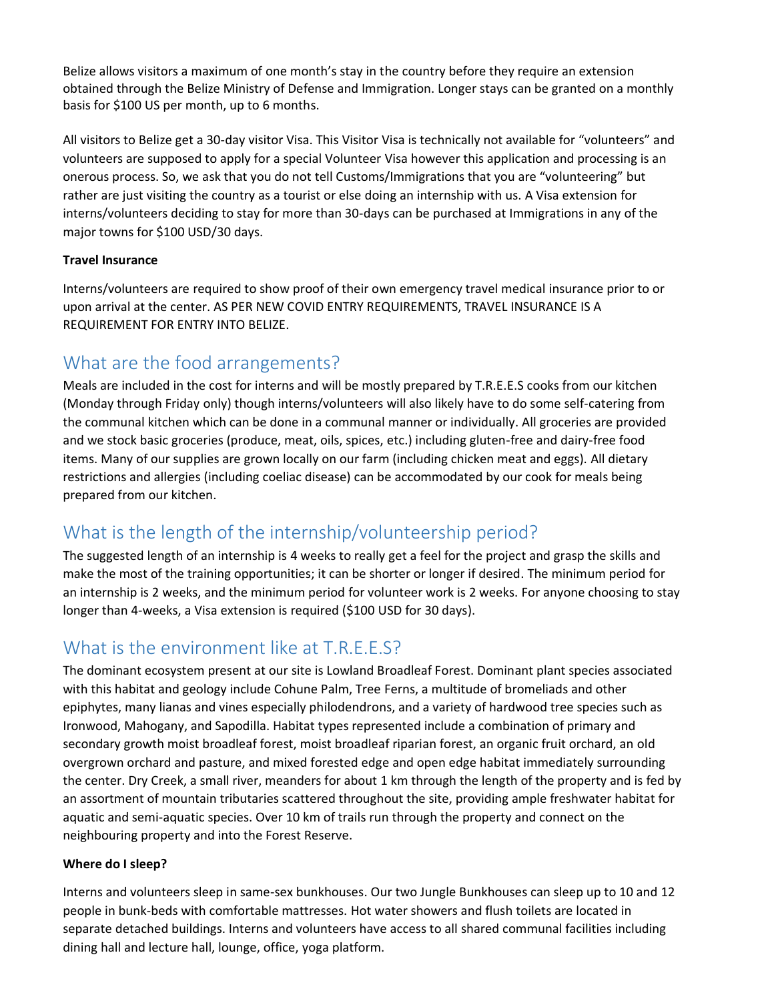Belize allows visitors a maximum of one month's stay in the country before they require an extension obtained through the Belize Ministry of Defense and Immigration. Longer stays can be granted on a monthly basis for \$100 US per month, up to 6 months.

All visitors to Belize get a 30-day visitor Visa. This Visitor Visa is technically not available for "volunteers" and volunteers are supposed to apply for a special Volunteer Visa however this application and processing is an onerous process. So, we ask that you do not tell Customs/Immigrations that you are "volunteering" but rather are just visiting the country as a tourist or else doing an internship with us. A Visa extension for interns/volunteers deciding to stay for more than 30-days can be purchased at Immigrations in any of the major towns for \$100 USD/30 days.

### **Travel Insurance**

Interns/volunteers are required to show proof of their own emergency travel medical insurance prior to or upon arrival at the center. AS PER NEW COVID ENTRY REQUIREMENTS, TRAVEL INSURANCE IS A REQUIREMENT FOR ENTRY INTO BELIZE.

## What are the food arrangements?

Meals are included in the cost for interns and will be mostly prepared by T.R.E.E.S cooks from our kitchen (Monday through Friday only) though interns/volunteers will also likely have to do some self-catering from the communal kitchen which can be done in a communal manner or individually. All groceries are provided and we stock basic groceries (produce, meat, oils, spices, etc.) including gluten-free and dairy-free food items. Many of our supplies are grown locally on our farm (including chicken meat and eggs). All dietary restrictions and allergies (including coeliac disease) can be accommodated by our cook for meals being prepared from our kitchen.

# What is the length of the internship/volunteership period?

The suggested length of an internship is 4 weeks to really get a feel for the project and grasp the skills and make the most of the training opportunities; it can be shorter or longer if desired. The minimum period for an internship is 2 weeks, and the minimum period for volunteer work is 2 weeks. For anyone choosing to stay longer than 4-weeks, a Visa extension is required (\$100 USD for 30 days).

# What is the environment like at T.R.E.E.S?

The dominant ecosystem present at our site is Lowland Broadleaf Forest. Dominant plant species associated with this habitat and geology include Cohune Palm, Tree Ferns, a multitude of bromeliads and other epiphytes, many lianas and vines especially philodendrons, and a variety of hardwood tree species such as Ironwood, Mahogany, and Sapodilla. Habitat types represented include a combination of primary and secondary growth moist broadleaf forest, moist broadleaf riparian forest, an organic fruit orchard, an old overgrown orchard and pasture, and mixed forested edge and open edge habitat immediately surrounding the center. Dry Creek, a small river, meanders for about 1 km through the length of the property and is fed by an assortment of mountain tributaries scattered throughout the site, providing ample freshwater habitat for aquatic and semi-aquatic species. Over 10 km of trails run through the property and connect on the neighbouring property and into the Forest Reserve.

### **Where do I sleep?**

Interns and volunteers sleep in same-sex bunkhouses. Our two Jungle Bunkhouses can sleep up to 10 and 12 people in bunk-beds with comfortable mattresses. Hot water showers and flush toilets are located in separate detached buildings. Interns and volunteers have access to all shared communal facilities including dining hall and lecture hall, lounge, office, yoga platform.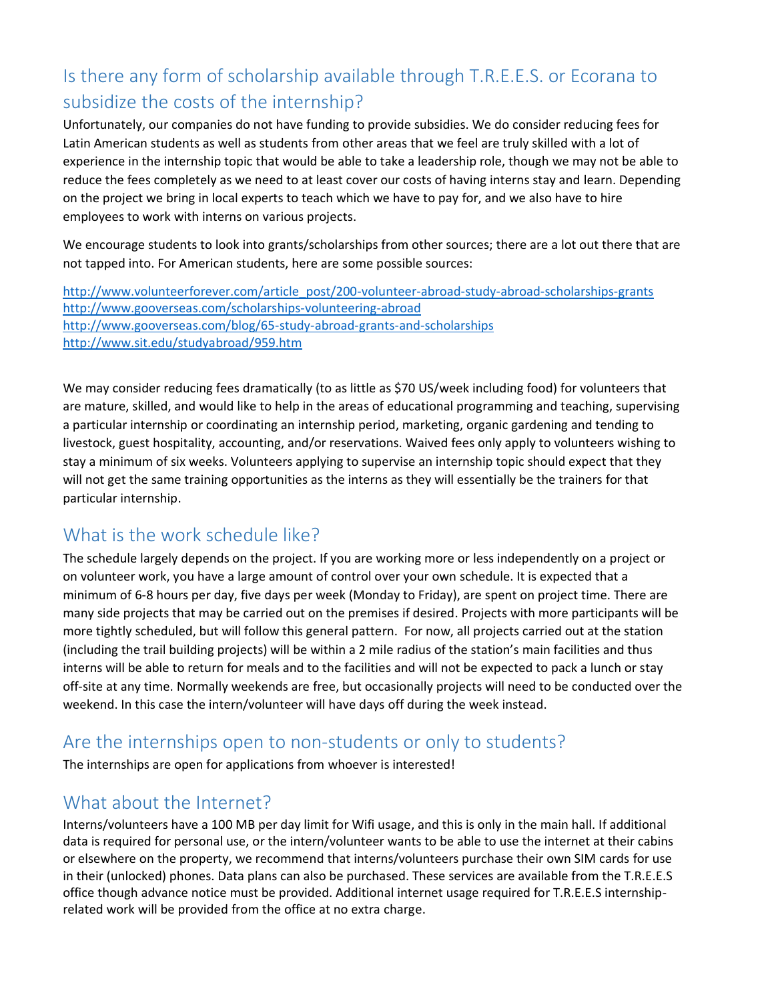# Is there any form of scholarship available through T.R.E.E.S. or Ecorana to subsidize the costs of the internship?

Unfortunately, our companies do not have funding to provide subsidies. We do consider reducing fees for Latin American students as well as students from other areas that we feel are truly skilled with a lot of experience in the internship topic that would be able to take a leadership role, though we may not be able to reduce the fees completely as we need to at least cover our costs of having interns stay and learn. Depending on the project we bring in local experts to teach which we have to pay for, and we also have to hire employees to work with interns on various projects.

We encourage students to look into grants/scholarships from other sources; there are a lot out there that are not tapped into. For American students, here are some possible sources:

[http://www.volunteerforever.com/article\\_post/200-volunteer-abroad-study-abroad-scholarships-grants](http://www.volunteerforever.com/article_post/200-volunteer-abroad-study-abroad-scholarships-grants) <http://www.gooverseas.com/scholarships-volunteering-abroad> <http://www.gooverseas.com/blog/65-study-abroad-grants-and-scholarships> <http://www.sit.edu/studyabroad/959.htm>

We may consider reducing fees dramatically (to as little as \$70 US/week including food) for volunteers that are mature, skilled, and would like to help in the areas of educational programming and teaching, supervising a particular internship or coordinating an internship period, marketing, organic gardening and tending to livestock, guest hospitality, accounting, and/or reservations. Waived fees only apply to volunteers wishing to stay a minimum of six weeks. Volunteers applying to supervise an internship topic should expect that they will not get the same training opportunities as the interns as they will essentially be the trainers for that particular internship.

## What is the work schedule like?

The schedule largely depends on the project. If you are working more or less independently on a project or on volunteer work, you have a large amount of control over your own schedule. It is expected that a minimum of 6-8 hours per day, five days per week (Monday to Friday), are spent on project time. There are many side projects that may be carried out on the premises if desired. Projects with more participants will be more tightly scheduled, but will follow this general pattern. For now, all projects carried out at the station (including the trail building projects) will be within a 2 mile radius of the station's main facilities and thus interns will be able to return for meals and to the facilities and will not be expected to pack a lunch or stay off-site at any time. Normally weekends are free, but occasionally projects will need to be conducted over the weekend. In this case the intern/volunteer will have days off during the week instead.

## Are the internships open to non-students or only to students?

The internships are open for applications from whoever is interested!

## What about the Internet?

Interns/volunteers have a 100 MB per day limit for Wifi usage, and this is only in the main hall. If additional data is required for personal use, or the intern/volunteer wants to be able to use the internet at their cabins or elsewhere on the property, we recommend that interns/volunteers purchase their own SIM cards for use in their (unlocked) phones. Data plans can also be purchased. These services are available from the T.R.E.E.S office though advance notice must be provided. Additional internet usage required for T.R.E.E.S internshiprelated work will be provided from the office at no extra charge.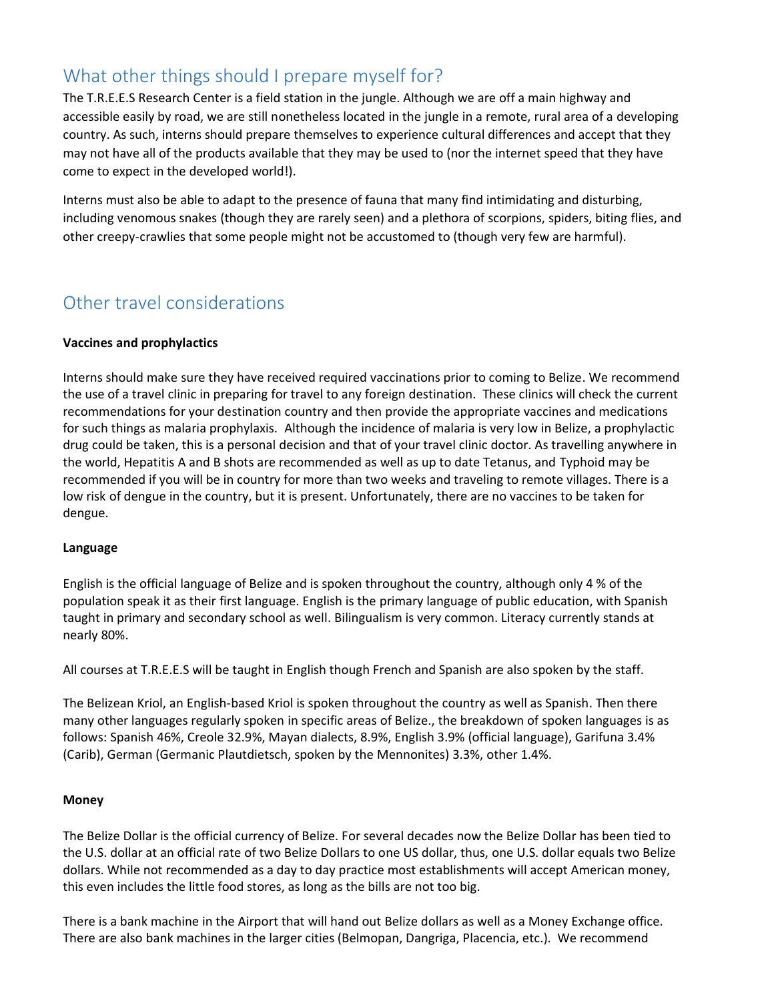# What other things should I prepare myself for?

The T.R.E.E.S Research Center is a field station in the jungle. Although we are off a main highway and accessible easily by road, we are still nonetheless located in the jungle in a remote, rural area of a developing country. As such, interns should prepare themselves to experience cultural differences and accept that they may not have all of the products available that they may be used to (nor the internet speed that they have come to expect in the developed world!).

Interns must also be able to adapt to the presence of fauna that many find intimidating and disturbing, including venomous snakes (though they are rarely seen) and a plethora of scorpions, spiders, biting flies, and other creepy-crawlies that some people might not be accustomed to (though very few are harmful).

# Other travel considerations

### **Vaccines and prophylactics**

Interns should make sure they have received required vaccinations prior to coming to Belize. We recommend the use of a travel clinic in preparing for travel to any foreign destination. These clinics will check the current recommendations for your destination country and then provide the appropriate vaccines and medications for such things as malaria prophylaxis. Although the incidence of malaria is very low in Belize, a prophylactic drug could be taken, this is a personal decision and that of your travel clinic doctor. As travelling anywhere in the world, Hepatitis A and B shots are recommended as well as up to date Tetanus, and Typhoid may be recommended if you will be in country for more than two weeks and traveling to remote villages. There is a low risk of dengue in the country, but it is present. Unfortunately, there are no vaccines to be taken for dengue.

### **Language**

English is the official language of Belize and is spoken throughout the country, although only 4 % of the population speak it as their first language. English is the primary language of public education, with Spanish taught in primary and secondary school as well. Bilingualism is very common. Literacy currently stands at nearly 80%.

All courses at T.R.E.E.S will be taught in English though French and Spanish are also spoken by the staff.

The Belizean Kriol, an English-based Kriol is spoken throughout the country as well as Spanish. Then there many other languages regularly spoken in specific areas of Belize., the breakdown of spoken languages is as follows: Spanish 46%, Creole 32.9%, Mayan dialects, 8.9%, English 3.9% (official language), Garifuna 3.4% (Carib), German (Germanic Plautdietsch, spoken by the Mennonites) 3.3%, other 1.4%.

### **Money**

The Belize Dollar is the official currency of Belize. For several decades now the Belize Dollar has been tied to the U.S. dollar at an official rate of two Belize Dollars to one US dollar, thus, one U.S. dollar equals two Belize dollars. While not recommended as a day to day practice most establishments will accept American money, this even includes the little food stores, as long as the bills are not too big.

There is a bank machine in the Airport that will hand out Belize dollars as well as a Money Exchange office. There are also bank machines in the larger cities (Belmopan, Dangriga, Placencia, etc.). We recommend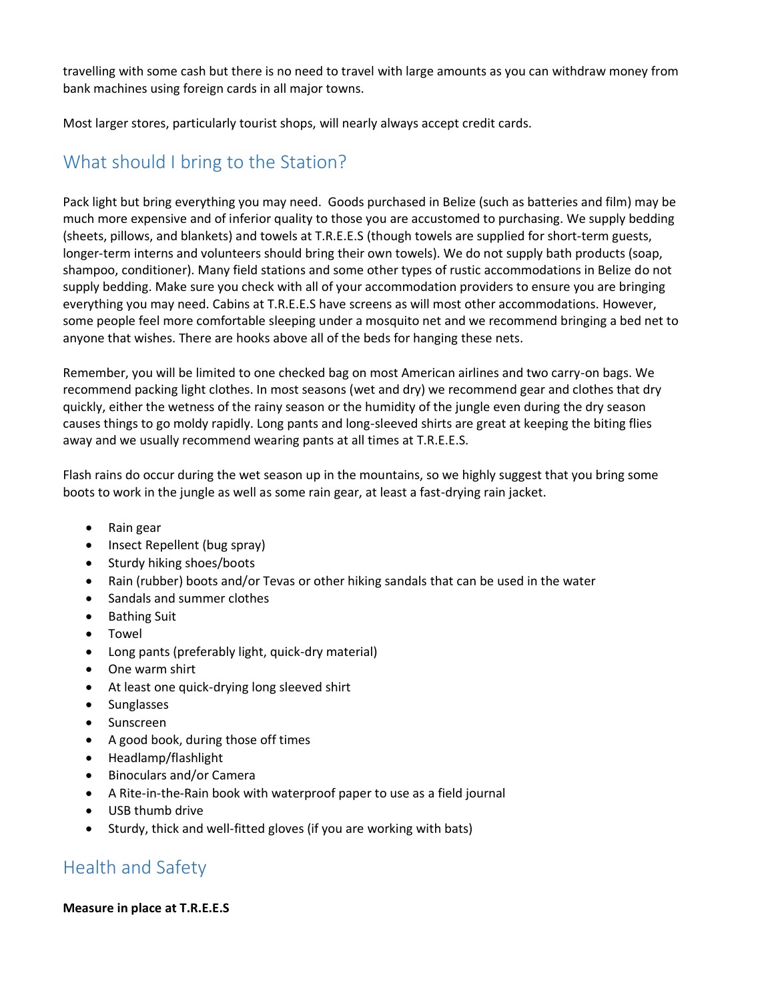travelling with some cash but there is no need to travel with large amounts as you can withdraw money from bank machines using foreign cards in all major towns.

Most larger stores, particularly tourist shops, will nearly always accept credit cards.

# What should I bring to the Station?

Pack light but bring everything you may need. Goods purchased in Belize (such as batteries and film) may be much more expensive and of inferior quality to those you are accustomed to purchasing. We supply bedding (sheets, pillows, and blankets) and towels at T.R.E.E.S (though towels are supplied for short-term guests, longer-term interns and volunteers should bring their own towels). We do not supply bath products (soap, shampoo, conditioner). Many field stations and some other types of rustic accommodations in Belize do not supply bedding. Make sure you check with all of your accommodation providers to ensure you are bringing everything you may need. Cabins at T.R.E.E.S have screens as will most other accommodations. However, some people feel more comfortable sleeping under a mosquito net and we recommend bringing a bed net to anyone that wishes. There are hooks above all of the beds for hanging these nets.

Remember, you will be limited to one checked bag on most American airlines and two carry-on bags. We recommend packing light clothes. In most seasons (wet and dry) we recommend gear and clothes that dry quickly, either the wetness of the rainy season or the humidity of the jungle even during the dry season causes things to go moldy rapidly. Long pants and long-sleeved shirts are great at keeping the biting flies away and we usually recommend wearing pants at all times at T.R.E.E.S.

Flash rains do occur during the wet season up in the mountains, so we highly suggest that you bring some boots to work in the jungle as well as some rain gear, at least a fast-drying rain jacket.

- Rain gear
- Insect Repellent (bug spray)
- Sturdy hiking shoes/boots
- Rain (rubber) boots and/or Tevas or other hiking sandals that can be used in the water
- Sandals and summer clothes
- Bathing Suit
- **Towel**
- Long pants (preferably light, quick-dry material)
- One warm shirt
- At least one quick-drying long sleeved shirt
- **Sunglasses**
- Sunscreen
- A good book, during those off times
- Headlamp/flashlight
- Binoculars and/or Camera
- A Rite-in-the-Rain book with waterproof paper to use as a field journal
- USB thumb drive
- Sturdy, thick and well-fitted gloves (if you are working with bats)

# Health and Safety

### **Measure in place at T.R.E.E.S**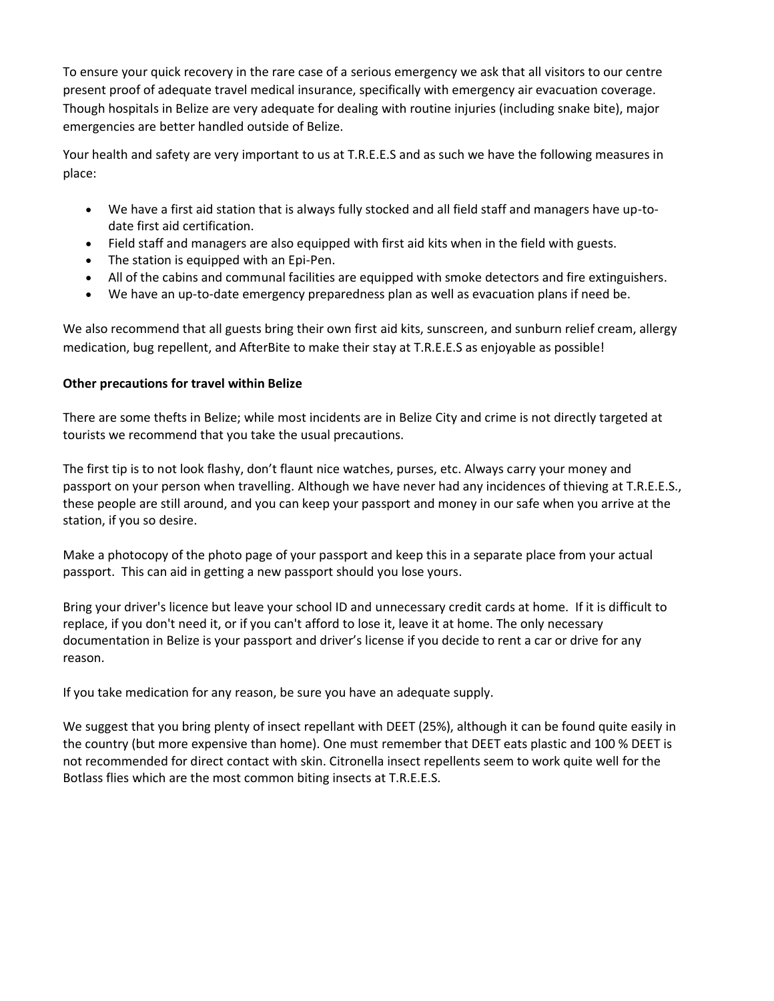To ensure your quick recovery in the rare case of a serious emergency we ask that all visitors to our centre present proof of adequate travel medical insurance, specifically with emergency air evacuation coverage. Though hospitals in Belize are very adequate for dealing with routine injuries (including snake bite), major emergencies are better handled outside of Belize.

Your health and safety are very important to us at T.R.E.E.S and as such we have the following measures in place:

- We have a first aid station that is always fully stocked and all field staff and managers have up-todate first aid certification.
- Field staff and managers are also equipped with first aid kits when in the field with guests.
- The station is equipped with an Epi-Pen.
- All of the cabins and communal facilities are equipped with smoke detectors and fire extinguishers.
- We have an up-to-date emergency preparedness plan as well as evacuation plans if need be.

We also recommend that all guests bring their own first aid kits, sunscreen, and sunburn relief cream, allergy medication, bug repellent, and AfterBite to make their stay at T.R.E.E.S as enjoyable as possible!

### **Other precautions for travel within Belize**

There are some thefts in Belize; while most incidents are in Belize City and crime is not directly targeted at tourists we recommend that you take the usual precautions.

The first tip is to not look flashy, don't flaunt nice watches, purses, etc. Always carry your money and passport on your person when travelling. Although we have never had any incidences of thieving at T.R.E.E.S., these people are still around, and you can keep your passport and money in our safe when you arrive at the station, if you so desire.

Make a photocopy of the photo page of your passport and keep this in a separate place from your actual passport. This can aid in getting a new passport should you lose yours.

Bring your driver's licence but leave your school ID and unnecessary credit cards at home. If it is difficult to replace, if you don't need it, or if you can't afford to lose it, leave it at home. The only necessary documentation in Belize is your passport and driver's license if you decide to rent a car or drive for any reason.

If you take medication for any reason, be sure you have an adequate supply.

We suggest that you bring plenty of insect repellant with DEET (25%), although it can be found quite easily in the country (but more expensive than home). One must remember that DEET eats plastic and 100 % DEET is not recommended for direct contact with skin. Citronella insect repellents seem to work quite well for the Botlass flies which are the most common biting insects at T.R.E.E.S.